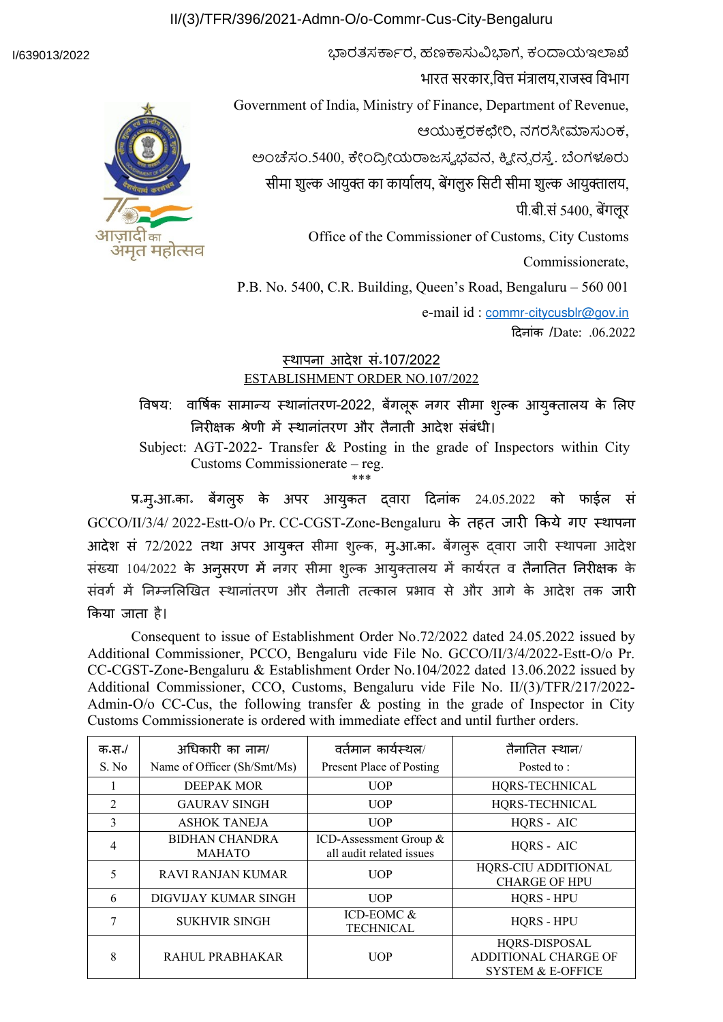## II/(3)/TFR/396/2021-Admn-O/o-Commr-Cus-City-Bengaluru

#### I/639013/2022



भारत सरकार,वित्त मंत्रालय,राजस्व विभाग Government of India, Ministry of Finance, Department of Revenue, ಆಯುಕ್ತ ರಕಛೇರಿ, ನಗರಸೀಮಾಸುಂಕ, ಅಂಚೆಸಂ.5400, ಕೇಂದ್ರ,ಯರಾಜಸ್ವ ಭವನ, ಕ್ವ,ನ್ಸ ರಸ್ತೆ. ಬೆಂಗಳೂರು सीमा शुल्क आयुक्त का कार्यालय, बेंगलुरु सिटी सीमा शुल्क आयुक्तालय, पी.बी.सं 5400, बेंगलूर Office of the Commissioner of Customs, City Customs Commissionerate, P.B. No. 5400, C.R. Building, Queen's Road, Bengaluru – 560 001

ಭಾರತಸರ್ಕಾರ, ಹಣಕಾಸುವಿಭಾಗ, ಕಂದಾಯಇಲಾಖೆ

e-mail id : [commr-citycusblr@gov.in](mailto:commr-citycusblr@gov.in)

दिनांक /Date: .06.2022

# <u>स्थापना आदेश सन्107/2022</u> ESTABLISHMENT ORDER NO.107/2022

विषय: ार्षिक सामान्य स्थानांतरण–2022, बेंगलूरू नगर सीमा शुल्क आयुक्तालय के लिए निरीक्षक श्रेणी में स्थानांतरण और तैनाती आदेश संबंधी।

Subject: AGT-2022- Transfer & Posting in the grade of Inspectors within City Customs Commissionerate – reg. \*\*\*

प्र॰मु॰आ॰का॰ बेगलुरु के अपर आयुकत द्वारा दिनांक 24.05.2022 को फाईल सं GCCO/II/3/4/ 2022-Estt-O/o Pr. CC-CGST-Zone-Bengaluru के तहत जारी किये गए स्थापना आदेश सं 72/2022 तथा अपर आयुक्त सीमा शुल्क, मुन्आन्कान बेंगलुरू द्वारा जारी स्थापना आदेश संख्या 104/2022 के अनुसरण में नगर सीमा शुल्क आयुक्तालय में कार्यरत तैनातित निरीक्षक के संवर्ग में निम्नलिखित स्थानांतरण और तैनाती तत्काल प्रभाव से और आगे के आदेश तक जारी किया जाता है।

Consequent to issue of Establishment Order No.72/2022 dated 24.05.2022 issued by Additional Commissioner, PCCO, Bengaluru vide File No. GCCO/II/3/4/2022-Estt-O/o Pr. CC-CGST-Zone-Bengaluru & Establishment Order No.104/2022 dated 13.06.2022 issued by Additional Commissioner, CCO, Customs, Bengaluru vide File No. II/(3)/TFR/217/2022- Admin-O/o CC-Cus, the following transfer & posting in the grade of Inspector in City Customs Commissionerate is ordered with immediate effect and until further orders.

| क.स./<br>S. No | अधिकारी का नाम/<br>Name of Officer (Sh/Smt/Ms) | वर्तमान कार्यस्थल/<br>Present Place of Posting     | तैनातित स्थान/<br>Posted to:                                                 |
|----------------|------------------------------------------------|----------------------------------------------------|------------------------------------------------------------------------------|
|                | <b>DEEPAK MOR</b>                              | <b>UOP</b>                                         | HQRS-TECHNICAL                                                               |
| $\overline{2}$ | <b>GAURAV SINGH</b>                            | <b>UOP</b>                                         | HQRS-TECHNICAL                                                               |
| 3              | <b>ASHOK TANEJA</b>                            | <b>UOP</b>                                         | HQRS - AIC                                                                   |
| 4              | BIDHAN CHANDRA<br><b>MAHATO</b>                | ICD-Assessment Group &<br>all audit related issues | HQRS - AIC                                                                   |
| 5              | RAVI RANJAN KUMAR                              | <b>UOP</b>                                         | HQRS-CIU ADDITIONAL<br><b>CHARGE OF HPU</b>                                  |
| 6              | DIGVIJAY KUMAR SINGH                           | <b>UOP</b>                                         | <b>HORS - HPU</b>                                                            |
| 7              | <b>SUKHVIR SINGH</b>                           | ICD-EOMC &<br><b>TECHNICAL</b>                     | HQRS - HPU                                                                   |
| 8              | RAHUL PRABHAKAR                                | <b>UOP</b>                                         | HQRS-DISPOSAL<br><b>ADDITIONAL CHARGE OF</b><br><b>SYSTEM &amp; E-OFFICE</b> |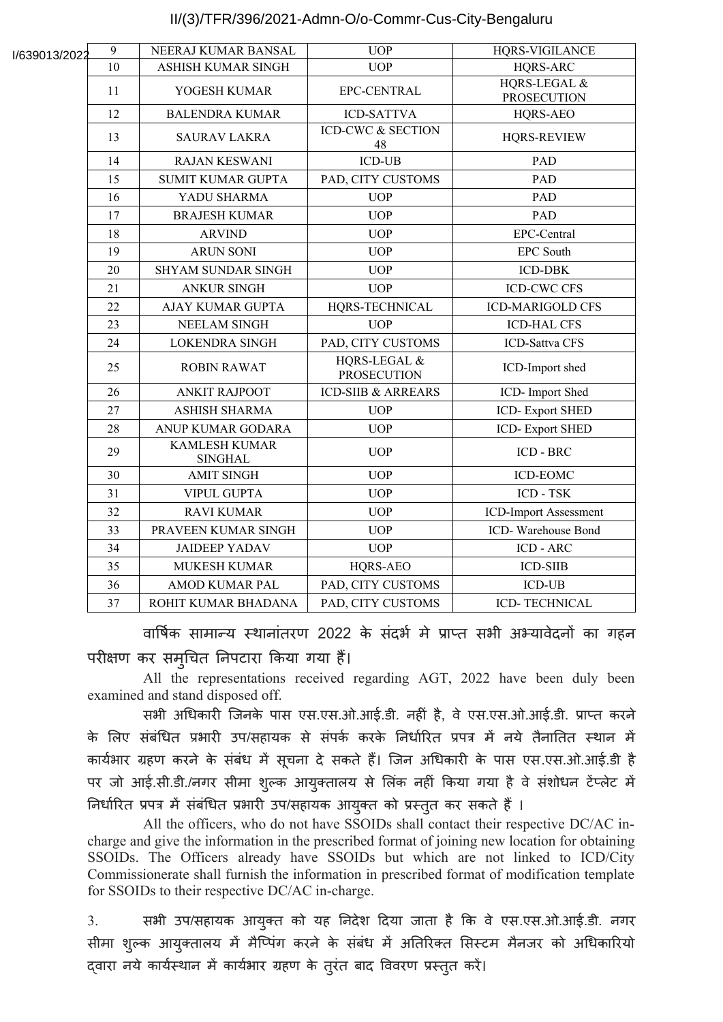## II/(3)/TFR/396/2021-Admn-O/o-Commr-Cus-City-Bengaluru

| I/639013/2022 | 9  | NEERAJ KUMAR BANSAL                    | <b>UOP</b>                         | HQRS-VIGILANCE                     |
|---------------|----|----------------------------------------|------------------------------------|------------------------------------|
|               | 10 | ASHISH KUMAR SINGH                     | <b>UOP</b>                         | HQRS-ARC                           |
|               | 11 | YOGESH KUMAR                           | EPC-CENTRAL                        | HQRS-LEGAL &<br><b>PROSECUTION</b> |
|               | 12 | <b>BALENDRA KUMAR</b>                  | <b>ICD-SATTVA</b>                  | HQRS-AEO                           |
|               | 13 | <b>SAURAV LAKRA</b>                    | <b>ICD-CWC &amp; SECTION</b><br>48 | <b>HQRS-REVIEW</b>                 |
|               | 14 | <b>RAJAN KESWANI</b>                   | <b>ICD-UB</b>                      | PAD                                |
|               | 15 | <b>SUMIT KUMAR GUPTA</b>               | PAD, CITY CUSTOMS                  | <b>PAD</b>                         |
|               | 16 | YADU SHARMA                            | <b>UOP</b>                         | PAD                                |
|               | 17 | <b>BRAJESH KUMAR</b>                   | <b>UOP</b>                         | <b>PAD</b>                         |
|               | 18 | <b>ARVIND</b>                          | <b>UOP</b>                         | EPC-Central                        |
|               | 19 | <b>ARUN SONI</b>                       | <b>UOP</b>                         | <b>EPC South</b>                   |
|               | 20 | <b>SHYAM SUNDAR SINGH</b>              | <b>UOP</b>                         | <b>ICD-DBK</b>                     |
|               | 21 | <b>ANKUR SINGH</b>                     | <b>UOP</b>                         | <b>ICD-CWC CFS</b>                 |
|               | 22 | <b>AJAY KUMAR GUPTA</b>                | HQRS-TECHNICAL                     | <b>ICD-MARIGOLD CFS</b>            |
|               | 23 | <b>NEELAM SINGH</b>                    | <b>UOP</b>                         | <b>ICD-HAL CFS</b>                 |
|               | 24 | <b>LOKENDRA SINGH</b>                  | PAD, CITY CUSTOMS                  | <b>ICD-Sattva CFS</b>              |
|               | 25 | <b>ROBIN RAWAT</b>                     | HQRS-LEGAL &<br><b>PROSECUTION</b> | ICD-Import shed                    |
|               | 26 | <b>ANKIT RAJPOOT</b>                   | <b>ICD-SIIB &amp; ARREARS</b>      | ICD- Import Shed                   |
|               | 27 | <b>ASHISH SHARMA</b>                   | <b>UOP</b>                         | <b>ICD-Export SHED</b>             |
|               | 28 | ANUP KUMAR GODARA                      | <b>UOP</b>                         | <b>ICD-Export SHED</b>             |
|               | 29 | <b>KAMLESH KUMAR</b><br><b>SINGHAL</b> | <b>UOP</b>                         | <b>ICD - BRC</b>                   |
|               | 30 | <b>AMIT SINGH</b>                      | <b>UOP</b>                         | ICD-EOMC                           |
|               | 31 | <b>VIPUL GUPTA</b>                     | <b>UOP</b>                         | ICD - TSK                          |
|               | 32 | <b>RAVI KUMAR</b>                      | <b>UOP</b>                         | <b>ICD-Import Assessment</b>       |
|               | 33 | PRAVEEN KUMAR SINGH                    | <b>UOP</b>                         | ICD-Warehouse Bond                 |
|               | 34 | <b>JAIDEEP YADAV</b>                   | <b>UOP</b>                         | ICD - ARC                          |
|               | 35 | MUKESH KUMAR                           | HQRS-AEO                           | <b>ICD-SIIB</b>                    |
|               | 36 | <b>AMOD KUMAR PAL</b>                  | PAD, CITY CUSTOMS                  | <b>ICD-UB</b>                      |
|               | 37 | ROHIT KUMAR BHADANA                    | PAD, CITY CUSTOMS                  | ICD-TECHNICAL                      |

वार्षिक सामान्य स्थानांतरण 2022 के सदभे में प्राप्त सभी अभ्यावेदनों का गहन परीक्षण कर समृचित निपटारा किया गया हैं।

All the representations received regarding AGT, 2022 have been duly been examined and stand disposed off.

सभी अधिकारी जिनके पास एस.एस.ओ.आई.डी. नहीं है, े एस.एस.ओ.आई.डी. प्राप्त करने के लिए संबंधित प्रभारी उप/सहायक से संपर्क करके निर्धारित प्रपत्र में नये तैनातित स्थान में कार्यभार ग्रहण करने के संबंध में सूचना दे सकते हैं। जिन अधिकारी के पास एस.एस.ओ.आई.डी है पर जो आई.सी.डी./नगर सीमा शुल्क आयुक्तालय से लिंक नहीं किया गया है वे संशोधन टेंप्लेट में निर्धारित प्रपत्र में संबंधित प्रभारी उप/सहायक आयुक्त को प्रस्तुत कर सकते हैं ।

All the officers, who do not have SSOIDs shall contact their respective DC/AC incharge and give the information in the prescribed format of joining new location for obtaining SSOIDs. The Officers already have SSOIDs but which are not linked to ICD/City Commissionerate shall furnish the information in prescribed format of modification template for SSOIDs to their respective DC/AC in-charge.

3. सभी उप/सहायक आयुक्त को यह निदेश दिया जाता है कि वे एस.एस.ओ.आई.डी. नगर सीमा शुल्क आयुक्तालय में मैप्पिंग करने के संबंध में अतिरिक्त सिस्टम मैनजर को अधिकारियो द्वारा नये कार्यस्थान में कार्यभार ग्रहण के तुरंत बाद विवरण प्रस्तुत करें।